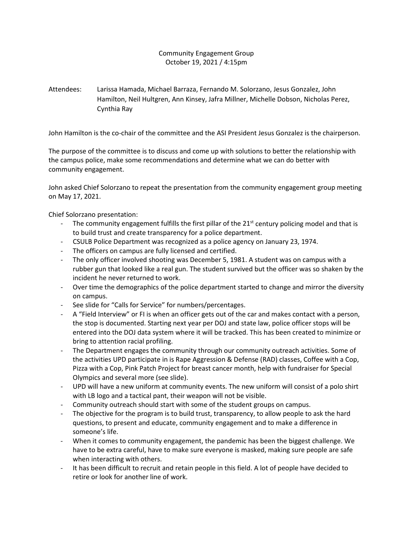## Community Engagement Group October 19, 2021 / 4:15pm

Attendees: Larissa Hamada, Michael Barraza, Fernando M. Solorzano, Jesus Gonzalez, John Hamilton, Neil Hultgren, Ann Kinsey, Jafra Millner, Michelle Dobson, Nicholas Perez, Cynthia Ray

John Hamilton is the co-chair of the committee and the ASI President Jesus Gonzalez is the chairperson.

The purpose of the committee is to discuss and come up with solutions to better the relationship with the campus police, make some recommendations and determine what we can do better with community engagement.

John asked Chief Solorzano to repeat the presentation from the community engagement group meeting on May 17, 2021.

Chief Solorzano presentation:

- The community engagement fulfills the first pillar of the  $21<sup>st</sup>$  century policing model and that is to build trust and create transparency for a police department.
- CSULB Police Department was recognized as a police agency on January 23, 1974.
- The officers on campus are fully licensed and certified.
- The only officer involved shooting was December 5, 1981. A student was on campus with a rubber gun that looked like a real gun. The student survived but the officer was so shaken by the incident he never returned to work.
- Over time the demographics of the police department started to change and mirror the diversity on campus.
- See slide for "Calls for Service" for numbers/percentages.
- A "Field Interview" or FI is when an officer gets out of the car and makes contact with a person, the stop is documented. Starting next year per DOJ and state law, police officer stops will be entered into the DOJ data system where it will be tracked. This has been created to minimize or bring to attention racial profiling.
- The Department engages the community through our community outreach activities. Some of the activities UPD participate in is Rape Aggression & Defense (RAD) classes, Coffee with a Cop, Pizza with a Cop, Pink Patch Project for breast cancer month, help with fundraiser for Special Olympics and several more (see slide).
- UPD will have a new uniform at community events. The new uniform will consist of a polo shirt with LB logo and a tactical pant, their weapon will not be visible.
- Community outreach should start with some of the student groups on campus.
- The objective for the program is to build trust, transparency, to allow people to ask the hard questions, to present and educate, community engagement and to make a difference in someone's life.
- When it comes to community engagement, the pandemic has been the biggest challenge. We have to be extra careful, have to make sure everyone is masked, making sure people are safe when interacting with others.
- It has been difficult to recruit and retain people in this field. A lot of people have decided to retire or look for another line of work.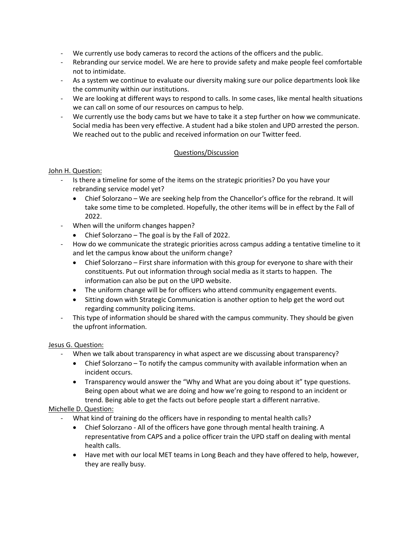- We currently use body cameras to record the actions of the officers and the public.
- Rebranding our service model. We are here to provide safety and make people feel comfortable not to intimidate.
- As a system we continue to evaluate our diversity making sure our police departments look like the community within our institutions.
- We are looking at different ways to respond to calls. In some cases, like mental health situations we can call on some of our resources on campus to help.
- We currently use the body cams but we have to take it a step further on how we communicate. Social media has been very effective. A student had a bike stolen and UPD arrested the person. We reached out to the public and received information on our Twitter feed.

## Questions/Discussion

#### John H. Question:

- Is there a timeline for some of the items on the strategic priorities? Do you have your rebranding service model yet?
	- Chief Solorzano We are seeking help from the Chancellor's office for the rebrand. It will take some time to be completed. Hopefully, the other items will be in effect by the Fall of 2022.
- When will the uniform changes happen?
	- Chief Solorzano The goal is by the Fall of 2022.
- How do we communicate the strategic priorities across campus adding a tentative timeline to it and let the campus know about the uniform change?
	- Chief Solorzano First share information with this group for everyone to share with their constituents. Put out information through social media as it starts to happen. The information can also be put on the UPD website.
	- The uniform change will be for officers who attend community engagement events.
	- Sitting down with Strategic Communication is another option to help get the word out regarding community policing items.
- This type of information should be shared with the campus community. They should be given the upfront information.

## Jesus G. Question:

- When we talk about transparency in what aspect are we discussing about transparency?
	- Chief Solorzano To notify the campus community with available information when an incident occurs.
	- Transparency would answer the "Why and What are you doing about it" type questions. Being open about what we are doing and how we're going to respond to an incident or trend. Being able to get the facts out before people start a different narrative.

## Michelle D. Question:

- What kind of training do the officers have in responding to mental health calls?
	- Chief Solorzano All of the officers have gone through mental health training. A representative from CAPS and a police officer train the UPD staff on dealing with mental health calls.
	- Have met with our local MET teams in Long Beach and they have offered to help, however, they are really busy.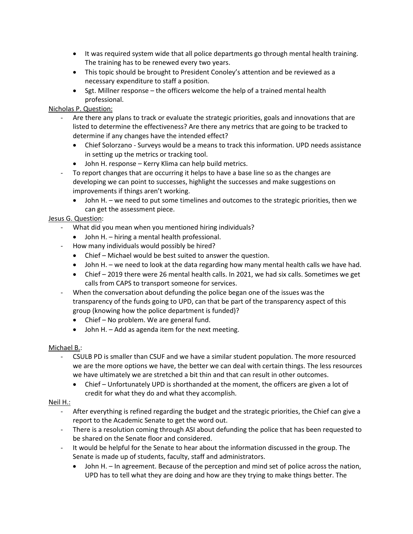- It was required system wide that all police departments go through mental health training. The training has to be renewed every two years.
- This topic should be brought to President Conoley's attention and be reviewed as a necessary expenditure to staff a position.
- Sgt. Millner response the officers welcome the help of a trained mental health professional.

# Nicholas P. Question:

- Are there any plans to track or evaluate the strategic priorities, goals and innovations that are listed to determine the effectiveness? Are there any metrics that are going to be tracked to determine if any changes have the intended effect?
	- Chief Solorzano Surveys would be a means to track this information. UPD needs assistance in setting up the metrics or tracking tool.
	- John H. response Kerry Klima can help build metrics.
- To report changes that are occurring it helps to have a base line so as the changes are developing we can point to successes, highlight the successes and make suggestions on improvements if things aren't working.
	- John H. we need to put some timelines and outcomes to the strategic priorities, then we can get the assessment piece.

## Jesus G. Question:

- What did you mean when you mentioned hiring individuals?
	- John H. hiring a mental health professional.
- How many individuals would possibly be hired?
	- Chief Michael would be best suited to answer the question.
	- John H. we need to look at the data regarding how many mental health calls we have had.
	- Chief 2019 there were 26 mental health calls. In 2021, we had six calls. Sometimes we get calls from CAPS to transport someone for services.
- When the conversation about defunding the police began one of the issues was the transparency of the funds going to UPD, can that be part of the transparency aspect of this group (knowing how the police department is funded)?
	- Chief No problem. We are general fund.
	- John H. Add as agenda item for the next meeting.

## Michael B.:

- CSULB PD is smaller than CSUF and we have a similar student population. The more resourced we are the more options we have, the better we can deal with certain things. The less resources we have ultimately we are stretched a bit thin and that can result in other outcomes.
	- Chief Unfortunately UPD is shorthanded at the moment, the officers are given a lot of credit for what they do and what they accomplish.

## Neil H.:

- After everything is refined regarding the budget and the strategic priorities, the Chief can give a report to the Academic Senate to get the word out.
- There is a resolution coming through ASI about defunding the police that has been requested to be shared on the Senate floor and considered.
- It would be helpful for the Senate to hear about the information discussed in the group. The Senate is made up of students, faculty, staff and administrators.
	- John H. In agreement. Because of the perception and mind set of police across the nation, UPD has to tell what they are doing and how are they trying to make things better. The